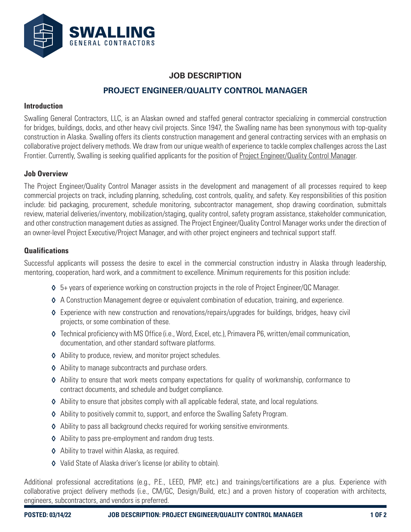

# **JOB DESCRIPTION PROJECT ENGINEER/QUALITY CONTROL MANAGER**

#### **Introduction**

Swalling General Contractors, LLC, is an Alaskan owned and staffed general contractor specializing in commercial construction for bridges, buildings, docks, and other heavy civil projects. Since 1947, the Swalling name has been synonymous with top-quality construction in Alaska. Swalling offers its clients construction management and general contracting services with an emphasis on collaborative project delivery methods. We draw from our unique wealth of experience to tackle complex challenges across the Last Frontier. Currently, Swalling is seeking qualified applicants for the position of Project Engineer/Quality Control Manager.

#### **Job Overview**

The Project Engineer/Quality Control Manager assists in the development and management of all processes required to keep commercial projects on track, including planning, scheduling, cost controls, quality, and safety. Key responsibilities of this position include: bid packaging, procurement, schedule monitoring, subcontractor management, shop drawing coordination, submittals review, material deliveries/inventory, mobilization/staging, quality control, safety program assistance, stakeholder communication, and other construction management duties as assigned. The Project Engineer/Quality Control Manager works under the direction of an owner-level Project Executive/Project Manager, and with other project engineers and technical support staff.

## **Qualifications**

Successful applicants will possess the desire to excel in the commercial construction industry in Alaska through leadership, mentoring, cooperation, hard work, and a commitment to excellence. Minimum requirements for this position include:

- ◊ 5+ years of experience working on construction projects in the role of Project Engineer/QC Manager.
- ◊ A Construction Management degree or equivalent combination of education, training, and experience.
- ◊ Experience with new construction and renovations/repairs/upgrades for buildings, bridges, heavy civil projects, or some combination of these.
- ◊ Technical proficiency with MS Office (i.e., Word, Excel, etc.), Primavera P6, written/email communication, documentation, and other standard software platforms.
- ◊ Ability to produce, review, and monitor project schedules.
- ◊ Ability to manage subcontracts and purchase orders.
- ◊ Ability to ensure that work meets company expectations for quality of workmanship, conformance to contract documents, and schedule and budget compliance.
- ◊ Ability to ensure that jobsites comply with all applicable federal, state, and local regulations.
- ◊ Ability to positively commit to, support, and enforce the Swalling Safety Program.
- ◊ Ability to pass all background checks required for working sensitive environments.
- ◊ Ability to pass pre-employment and random drug tests.
- ◊ Ability to travel within Alaska, as required.
- ◊ Valid State of Alaska driver's license (or ability to obtain).

Additional professional accreditations (e.g., P.E., LEED, PMP, etc.) and trainings/certifications are a plus. Experience with collaborative project delivery methods (i.e., CM/GC, Design/Build, etc.) and a proven history of cooperation with architects, engineers, subcontractors, and vendors is preferred.